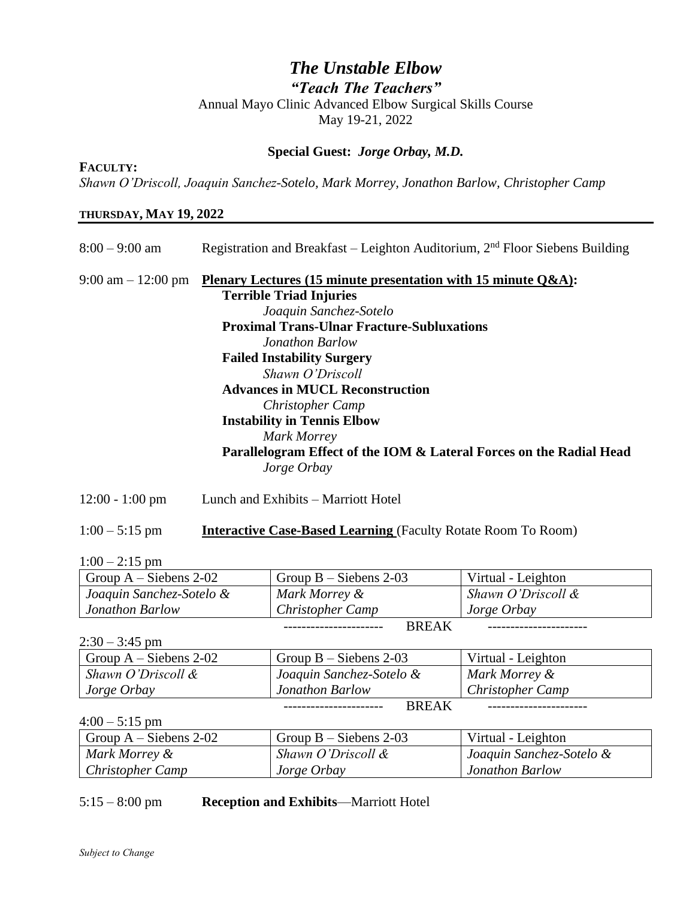## *The Unstable Elbow "Teach The Teachers"*  Annual Mayo Clinic Advanced Elbow Surgical Skills Course May 19-21, 2022

#### **Special Guest:** *Jorge Orbay, M.D.*

*Shawn O'Driscoll, Joaquin Sanchez-Sotelo, Mark Morrey, Jonathon Barlow, Christopher Camp*

#### **THURSDAY, MAY 19, 2022**

**FACULTY:**

| Registration and Breakfast – Leighton Auditorium, $2nd$ Floor Siebens Building     |
|------------------------------------------------------------------------------------|
| Plenary Lectures (15 minute presentation with 15 minute $Q&A$ ):                   |
| <b>Terrible Triad Injuries</b>                                                     |
| Joaquin Sanchez-Sotelo                                                             |
| <b>Proximal Trans-Ulnar Fracture-Subluxations</b>                                  |
| Jonathon Barlow                                                                    |
| <b>Failed Instability Surgery</b>                                                  |
| Shawn O'Driscoll                                                                   |
| <b>Advances in MUCL Reconstruction</b>                                             |
| <b>Christopher Camp</b>                                                            |
| <b>Instability in Tennis Elbow</b>                                                 |
| Mark Morrey                                                                        |
| Parallelogram Effect of the IOM & Lateral Forces on the Radial Head<br>Jorge Orbay |
|                                                                                    |

12:00 - 1:00 pm Lunch and Exhibits – Marriott Hotel

#### 1:00 – 5:15 pm **Interactive Case-Based Learning** (Faculty Rotate Room To Room)

 $1:00 - 2:15$  pm

| Group $A - Siebens 2-02$ | Group $B - Siebens 2-03$ | Virtual - Leighton |       |
|--------------------------|--------------------------|--------------------|-------|
| Joaquin Sanchez-Sotelo & | Mark Morrey &            | Shawn O'Driscoll & |       |
| <b>Jonathon Barlow</b>   | <b>Christopher Camp</b>  | Jorge Orbay        |       |
|                          |                          |                    | BREAK |

 $2:30 - 3:45$  pm

|                          |                          | <b>BREAK</b>            |  |
|--------------------------|--------------------------|-------------------------|--|
| Jorge Orbay              | Jonathon Barlow          | <b>Christopher Camp</b> |  |
| Shawn O'Driscoll &       | Joaquin Sanchez-Sotelo & | Mark Morrey &           |  |
| Group $A - Siebens 2-02$ | Group $B - Siebens 2-03$ | Virtual - Leighton      |  |

 $4:00 - 5:15$  pm

| Group $A - Siebens 2-02$ | Group $B - Siebens 2-03$ | Virtual - Leighton       |
|--------------------------|--------------------------|--------------------------|
| Mark Morrey &            | Shawn O'Driscoll &       | Joaquin Sanchez-Sotelo & |
| <b>Christopher Camp</b>  | Jorge Orbay              | Jonathon Barlow          |

#### 5:15 – 8:00 pm **Reception and Exhibits**—Marriott Hotel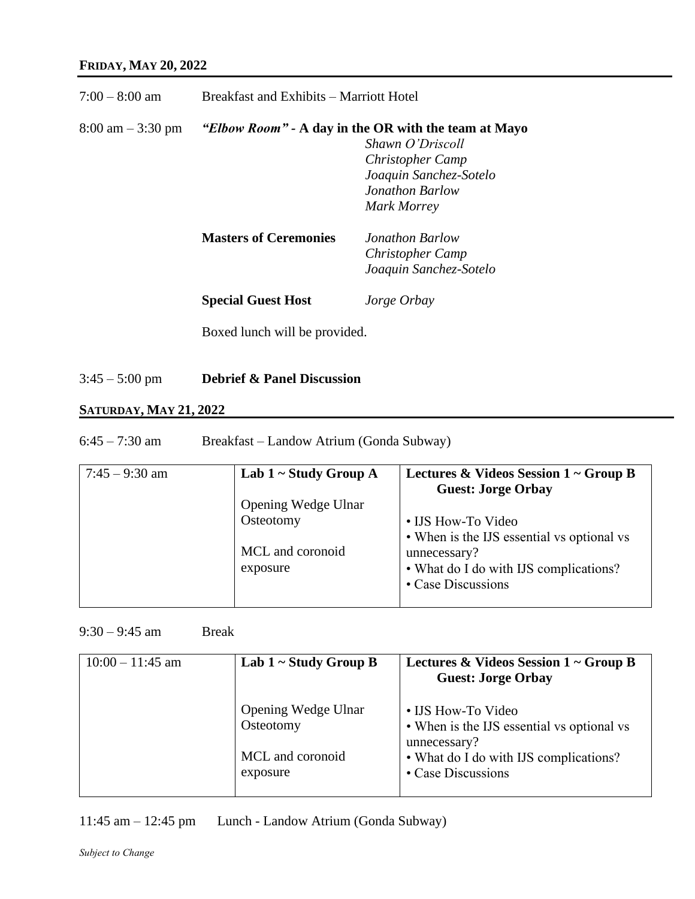| $7:00-8:00$ am                      | Breakfast and Exhibits – Marriott Hotel |                                                                                                                                                                        |
|-------------------------------------|-----------------------------------------|------------------------------------------------------------------------------------------------------------------------------------------------------------------------|
| $8:00 \text{ am} - 3:30 \text{ pm}$ |                                         | <i>"Elbow Room"</i> - A day in the OR with the team at Mayo<br>Shawn O'Driscoll<br><b>Christopher Camp</b><br>Joaquin Sanchez-Sotelo<br>Jonathon Barlow<br>Mark Morrey |
|                                     | <b>Masters of Ceremonies</b>            | Jonathon Barlow<br><b>Christopher Camp</b><br>Joaquin Sanchez-Sotelo                                                                                                   |
|                                     | <b>Special Guest Host</b>               | Jorge Orbay                                                                                                                                                            |
|                                     | Boxed lunch will be provided.           |                                                                                                                                                                        |

3:45 – 5:00 pm **Debrief & Panel Discussion**

## **SATURDAY, MAY 21, 2022**

6:45 – 7:30 am Breakfast – Landow Atrium (Gonda Subway)

| $7:45 - 9:30$ am | Lab $1 \sim$ Study Group A                | Lectures & Videos Session $1 \sim$ Group B<br><b>Guest: Jorge Orbay</b>                                                                          |
|------------------|-------------------------------------------|--------------------------------------------------------------------------------------------------------------------------------------------------|
|                  | Opening Wedge Ulnar                       |                                                                                                                                                  |
|                  | Osteotomy<br>MCL and coronoid<br>exposure | • IJS How-To Video<br>• When is the IJS essential vs optional vs<br>unnecessary?<br>• What do I do with IJS complications?<br>• Case Discussions |

 $9:30 - 9:45$  am Break

| $10:00 - 11:45$ am | Lab $1 \sim$ Study Group B       | Lectures & Videos Session $1 \sim$ Group B<br><b>Guest: Jorge Orbay</b>          |
|--------------------|----------------------------------|----------------------------------------------------------------------------------|
|                    | Opening Wedge Ulnar<br>Osteotomy | • IJS How-To Video<br>• When is the IJS essential vs optional vs<br>unnecessary? |
|                    | MCL and coronoid<br>exposure     | • What do I do with IJS complications?<br>• Case Discussions                     |

11:45 am – 12:45 pm Lunch - Landow Atrium (Gonda Subway)